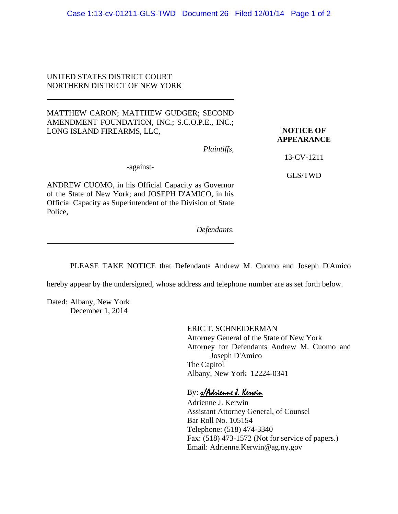## UNITED STATES DISTRICT COURT NORTHERN DISTRICT OF NEW YORK

## MATTHEW CARON; MATTHEW GUDGER; SECOND AMENDMENT FOUNDATION, INC.; S.C.O.P.E., INC.; LONG ISLAND FIREARMS, LLC,

## **NOTICE OF APPEARANCE**

*Plaintiffs*,

13-CV-1211

GLS/TWD

-against-

ANDREW CUOMO, in his Official Capacity as Governor of the State of New York; and JOSEPH D'AMICO, in his Official Capacity as Superintendent of the Division of State Police,

*Defendants*.

PLEASE TAKE NOTICE that Defendants Andrew M. Cuomo and Joseph D'Amico

hereby appear by the undersigned, whose address and telephone number are as set forth below.

Dated: Albany, New York December 1, 2014

> ERIC T. SCHNEIDERMAN Attorney General of the State of New York Attorney for Defendants Andrew M. Cuomo and Joseph D'Amico The Capitol Albany, New York 12224-0341

## By: s/Adrienne J. Kerwin

Adrienne J. Kerwin Assistant Attorney General, of Counsel Bar Roll No. 105154 Telephone: (518) 474-3340 Fax: (518) 473-1572 (Not for service of papers.) Email: Adrienne.Kerwin@ag.ny.gov